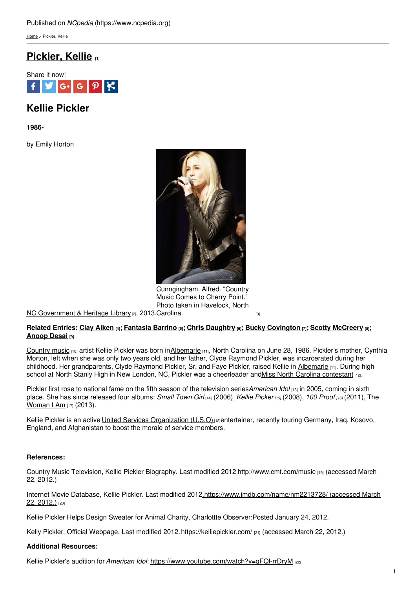[Home](https://www.ncpedia.org/) > Pickler, Kellie

## **[Pickler,](https://www.ncpedia.org/pickler-kellie) Kellie [1]**



# **Kellie Pickler**

**1986-**

by Emily Horton



Cunngingham, Alfred. "Country Music Comes to Cherry Point." Photo taken in Havelock, North

NC [Government](https://statelibrary.ncdcr.gov/) & Heritage Library [2], 2013.[Carolina.](https://www.flickr.com/photos/mcascherrypoint/6390154953/)

#### Related Entries: Clay [Aiken](https://ncpedia.org/biography/aiken-clay) [4]; [Fantasia](https://www.ncpedia.org/barrino-fantasia) Barrino [5]; Chris [Daughtry](https://www.ncpedia.org/daughtry-chris) [6]; Bucky [Covington](https://www.ncpedia.org/covington-bucky) [7]; Scotty [McCreery](https://www.ncpedia.org/mccreery-scotty) [8]; **[Anoop](https://www.ncpedia.org/desai-anoop) Desai [9]**

[Country](https://www.ncpedia.org/country-music) music [10] artist Kellie Pickler was born in [Albemarle](https://ncpedia.org/geography/stanly) [11], North Carolina on June 28, 1986. Pickler's mother, Cynthia Morton, left when she was only two years old, and her father, Clyde Raymond Pickler, was incarcerated during her childhood. Her grandparents, Clyde Raymond Pickler, Sr, and Faye Pickler, raised Kellie in [Albemarle](https://ncpedia.org/geography/stanly) [11]. During high school at North Stanly High in New London, NC, Pickler was a cheerleader and Miss North Carolina [contestant](https://missnc.org/) [12].

Pickler first rose to national fame on the fifth season of the television series*[American](http://www.americanidol.com/) Idol* [13] in 2005, coming in sixth place. She has since [released](https://www.discogs.com/master/742095-Kellie-Pickler-The-Woman-I-Am) four albums: *[Small](https://www.discogs.com/release/2013107-Kellie-Pickler-Small-Town-Girl) Town Girl* [14] (2006), *Kellie [Picker](https://www.discogs.com/master/876380-Kellie-Pickler-Kellie-Pickler) [15]* (2008), *100 [Proof](https://www.discogs.com/release/3818057-Kellie-Pickler-100-Proof) [16]* (2011), The Woman | Am [17] (2013).

Kellie Pickler is an active United Services [Organization](https://www.uso.org/) (U.S.O) <sub>[18]</sub>entertainer, recently touring Germany, Irag, Kosovo, England, and Afghanistan to boost the morale of service members.

#### **References:**

Country Music Television, Kellie Pickler Biography. Last modified 2012[.http://www.cmt.com/music](http://www.cmt.com/music) [19] (accessed March 22, 2012.)

Internet Movie Database, Kellie Pickler. Last modified [2012.https://www.imdb.com/name/nm2213728/](https://www.imdb.com/name/nm2213728/) (accessed March 22, 2012.) [20]

Kellie Pickler Helps Design Sweater for Animal Charity, Charlottte Observer:Posted January 24, 2012.

Kelly Pickler, Official Webpage. Last modified 2012.<https://kelliepickler.com/> [21] (accessed March 22, 2012.)

### **Additional Resources:**

Kellie Pickler's audition for American Idol: https://www.youtube.com/watch?v=qFQI-rrDryM [22]